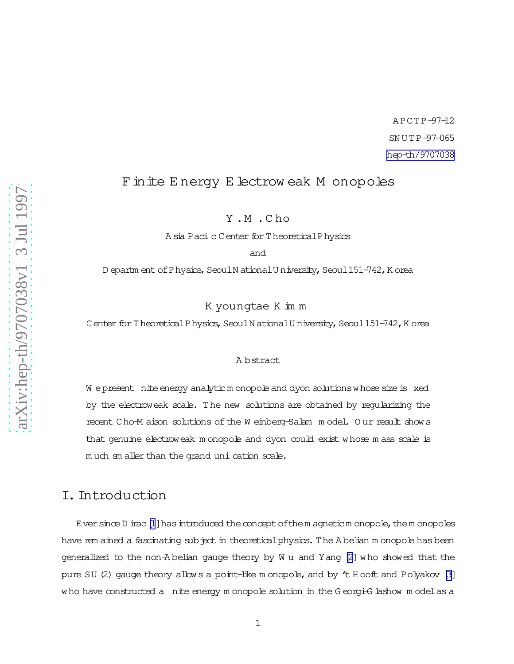A PCTP-97-12 SN U TP-97-065 [hep-th/9707038](http://arxiv.org/abs/hep-th/9707038)

# Finite E nergy E lectrow eak M onopoles

Y .M .C ho

A sia Paci c C enter for T heoretical Physics

and

D epartm ent of Physics, Seoul N ational U niversity, Seoul 151-742, K orea

### K youngtae K im m

Center for Theoretical Physics, Seoul N ational U niversity, Seoul 151-742, K orea

#### A bstract

W epresent nite energy analyticm onopole and dyon solutions whose size is xed by the electroweak scale. The new solutions are obtained by regularizing the recent Cho-M aison solutions of the W einberg-Salam m odel. O ur result shows that genuine electroweak m onopole and dyon could exist whose m ass scale is much sm aller than the grand uni cation scale.

## I.Introduction

Ever since  $D$  irac  $[1]$  $[1]$  has introduced the concept of the m agnetic m onopole, the m onopoles have rem ained a fascinating subject in theoretical physics. The A belian m onopole has been generalized to the non-A belian gauge theory by W u and Yang [\[2](#page-20-0)] who showed that the pure SU (2) gauge theory allows a point-like m onopole, and by  $t$  H ooft and Polyakov [\[3\]](#page-20-0) who have constructed a nite energy m onopole solution in the G eorgi-G lashow m odelas a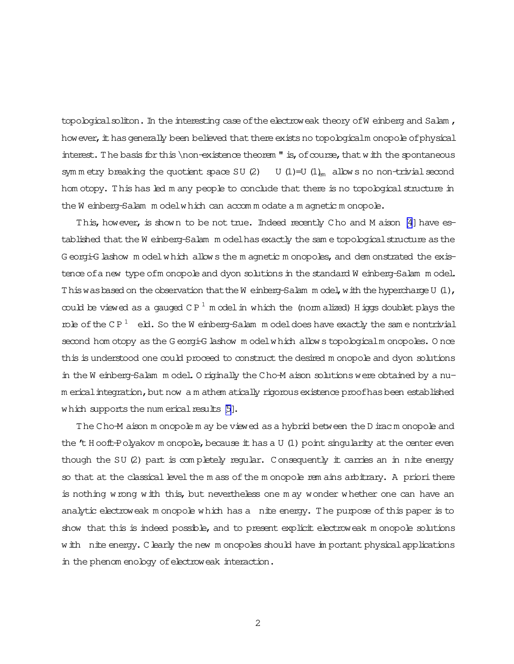topological soliton. In the interesting case of the electroweak theory of W einberg and Salam , how ever, it has generally been believed that there exists no topologicalm onopole of physical interest. The basis for this \non-existence theorem  $"$  is, of course, that with the spontaneous sym m etry breaking the quotient space SU (2) U (1)=U (1)<sub>em</sub> allows no non-trivial second hom otopy. This has led m any people to conclude that there is no topological structure in the W einberg-Salam m odelwhich can accom m odate a m agnetic m onopole.

This, however, is shown to be not true. Indeed recently Cho and M aison [\[4](#page-20-0)] have established that the W einberg-Salam m odel has exactly the sam e topological structure as the G eorgi-G lashow m odelwhich allows the m agnetic m onopoles, and dem onstrated the existence of a new type ofm onopole and dyon solutions in the standard W einberg-Salam m odel. This was based on the observation that the W einberg-Salam m odel, with the hypercharge U  $(1)$ , could be viewed as a gauged  $\mathbb{CP}^1$  m odel in which the (norm alized) H iggs doublet plays the role of the CP<sup>1</sup> eld. So the W einberg-Salam m odel does have exactly the same nontrivial second hom otopy as the G eorgi-G lashow m odelwhich allows topologicalm onopoles. O nce this is understood one could proceed to construct the desired m onopole and dyon solutions in the W einberg-Salam m odel. O riginally the Cho-M aison solutions were obtained by a num erical integration, but now a m athem atically rigorous existence proofhas been established which supports the num erical results  $[5]$ .

The Cho-M aison m onopole m ay be viewed asa hybrid between theD irac m onopole and the 't H ooft-Polyakov m onopole, because it has a U (1) point singularity at the center even though the SU (2) part is completely regular. Consequently it carries an in nite energy so that at the classical level the m ass of the m onopole rem ains arbitrary. A priori there is nothing wrong with this, but nevertheless one m ay wonder whether one can have an analytic electroweak m onopole which has a nite energy. The purpose of this paper is to show that this is indeed possible, and to present explicit electroweak monopole solutions w ith nite energy. Clearly the new m onopoles should have im portant physical applications in the phenom enology of electroweak interaction.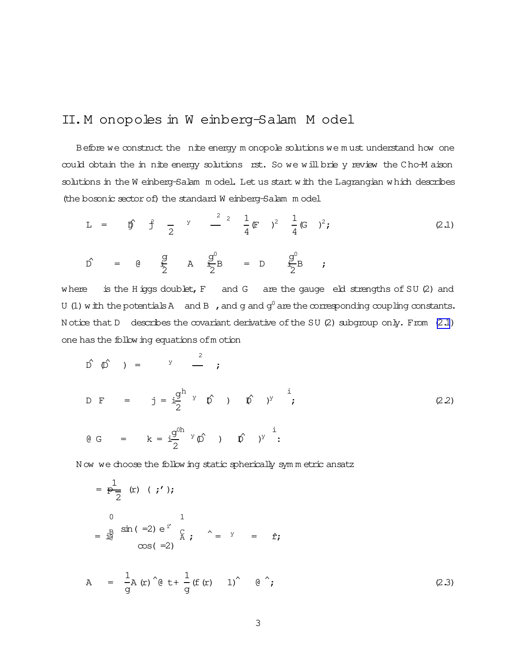## <span id="page-2-0"></span>II.M onopoles in W einberg-Salam M odel

Before we construct the nite energy m onopole solutions we m ust understand how one could obtain the in nite energy solutions rst. So we will brie y review the Cho-M aison solutions in the W einberg-Salam m odel. Let us start with the Lagrangian which describes (the bosonic sector of) the standard W einberg-Salam m odel

$$
L = \hat{p} \hat{j} - \frac{1}{2} \hat{k} \hat{k} \hat{k}
$$
\n
$$
= \hat{p} \hat{j} - \frac{1}{2} \hat{k} \hat{k} \hat{k} \hat{k}
$$
\n
$$
= \hat{p} \hat{k} \hat{k} \hat{k}
$$
\n
$$
= \hat{p} \hat{k} \hat{k}
$$
\n
$$
= \hat{p} \hat{k} \hat{k}
$$
\n
$$
= \hat{p} \hat{k} \hat{k}
$$
\n
$$
= \hat{p} \hat{k} \hat{k}
$$
\n
$$
= \hat{p} \hat{k} \hat{k}
$$
\n
$$
= \hat{p} \hat{k}
$$
\n
$$
= \hat{p} \hat{k}
$$
\n
$$
= \hat{p} \hat{k}
$$
\n
$$
= \hat{p} \hat{k}
$$
\n
$$
= \hat{p} \hat{k}
$$
\n
$$
= \hat{p} \hat{k}
$$
\n
$$
= \hat{p} \hat{k}
$$
\n
$$
= \hat{p} \hat{k}
$$
\n
$$
= \hat{p} \hat{k}
$$
\n
$$
= \hat{p} \hat{k}
$$
\n
$$
= \hat{p} \hat{k}
$$
\n
$$
= \hat{p} \hat{k}
$$
\n
$$
= \hat{p} \hat{k}
$$
\n
$$
= \hat{p} \hat{k}
$$
\n
$$
= \hat{p} \hat{k}
$$
\n
$$
= \hat{p} \hat{k}
$$
\n
$$
= \hat{p} \hat{k}
$$
\n
$$
= \hat{p} \hat{k}
$$
\n
$$
= \hat{p} \hat{k}
$$
\n
$$
= \hat{p} \hat{k}
$$
\n
$$
= \hat{p} \hat{k}
$$
\n
$$
= \hat{p} \hat{k}
$$
\n
$$
= \hat{p} \hat{k}
$$
\n
$$
= \hat{p} \hat{k}
$$
\n
$$
= \hat{p} \hat{k}
$$
\n
$$
= \hat{p} \hat{k}
$$
\n
$$
= \hat{p} \hat{k}
$$
\n
$$
= \hat{p} \hat{k}
$$
\n
$$
= \
$$

$$
\hat{D} = \begin{pmatrix} g & g^{0} \\ \frac{1}{2} & A & \frac{1}{2}B \\ 0 & 0 & 0 \end{pmatrix} = D \begin{pmatrix} g^{0} \\ \frac{1}{2}B \\ 0 & 0 \end{pmatrix}
$$
\n
$$
\hat{D} = \begin{pmatrix} g & g^{0} \\ \frac{1}{2}B \\ 0 & 0 \end{pmatrix} = \begin{pmatrix} g^{0} \\ \frac{1}{2}B \\ 0 & 0 \end{pmatrix} = D \begin{pmatrix} g^{0} \\ \frac{1}{2}B \\ 0 & 0 \end{pmatrix}
$$

where is the H iggs doublet, F and G are the gauge eld strengths of SU (2) and U (1) with the potentials A and B , and g and  $g^0$  are the corresponding coupling constants. N otice that D describes the covariant derivative of the SU (2) subgroup only. From (2.1) one hasthe following equations ofm otion

 $\hat{D} \hat{D}$  ) =  $\hat{Y}$   $\hat{Z}$ ;

$$
D F = j = i\frac{g^h}{2} \times \hat{D} \times \hat{D} \times \hat{J}
$$
 (2.2)

$$
Q G = k = i \frac{g^{0h}}{2} Y \phi^{0} \phi^{0} \phi^{0} \phi^{1}.
$$

N ow we choose the following static spherically symmetric ansatz

$$
= \frac{1}{P} (r) (\; ; \; \cdot \; )
$$
\n
$$
= \frac{1}{10} \sin (-2) e^{i\theta} \quad \frac{1}{A} \; ; \quad \hat{ } = \; y = \hat{ } \; ;
$$
\n
$$
\cos (-2)
$$

$$
A = \frac{1}{g} A(r) \uparrow (g t + \frac{1}{g} (f(r) 1) \uparrow (g \uparrow)
$$
 (2.3)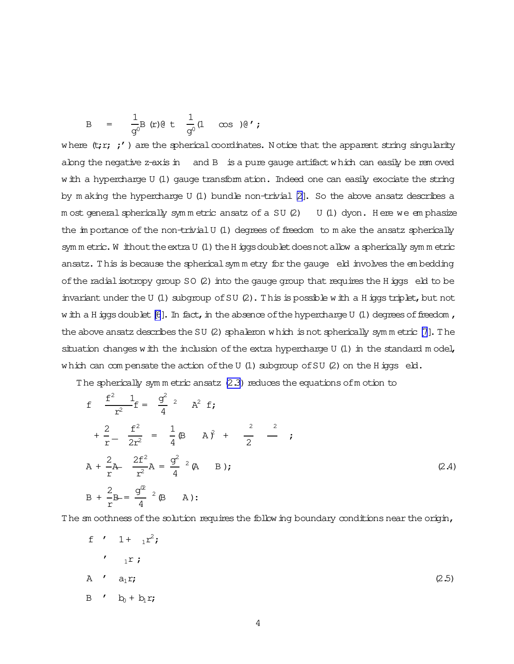<span id="page-3-0"></span>B = 
$$
\frac{1}{g^0} B(r) \theta t \frac{1}{g^0} (1 \cos) \theta'
$$
;

where  $(t; r; t')$  are the spherical coordinates. Notice that the apparent string singularity abng the negative z-axis in and B is a pure gauge artifact which can easily be rem oved w ith a hypercharge U (1) gauge transform ation. Indeed one can easily exociate the string by m aking the hypercharge U (1) bundle non-trivial  $[2]$ . So the above ansatz describes a m ost general spherically symmetric ansatz of a SU (2) U (1) dyon. Here we emphasize the importance of the non-trivial U (1) degrees of freedom to make the ansatz spherically sym m etric. W ithout the extra U (1) the H iggs doublet does not allow a spherically sym m etric ansatz. This is because the spherical symm etry for the gauge eld involves the embedding of the radial isotropy group  $SO(2)$  into the gauge group that requires the H iggs eld to be invariant under the U (1) subgroup of SU (2). This is possible with a H iggs triplet, but not w ith a H iggs doublet  $[6]$ . In fact, in the absence of the hypercharge U (1) degrees of freedom, the above ansatz describes the SU  $(2)$  sphaleron which is not spherically symmetric  $[7]$ . The situation changes with the inclusion of the extra hypercharge  $U(1)$  in the standard model, which can compensate the action of the U  $(1)$  subgroup of SU  $(2)$  on the H iggs eld.

The spherically symmetric ansatz (2.3) reduces the equations of motion to

$$
f = \frac{f^2}{r^2} - \frac{1}{f} = \frac{g^2}{4} - \frac{2}{3} + \frac{2}{3} = \frac{f^2}{4} - \frac{1}{4} + \frac{2}{5} - \frac{2f^2}{3} = \frac{1}{4} - \frac{2f^2}{4} + \frac{2}{5} - \frac{2f^2}{3} = \frac{g^2}{4} - \frac{2}{5} + \frac{2}{5} - \frac{2f^2}{4} = \frac{g^2}{4} - \frac{2}{5} + \frac{2}{5} = \frac{g^2}{4} - \frac{2}{5} + \frac{2}{5} = \frac{g^2}{4} - \frac{2}{5} - \frac{2}{5} + \frac{2}{5} = \frac{2}{5} - \frac{2}{5} + \frac{2}{5} = \frac{2}{5} - \frac{2}{5} + \frac{2}{5} = \frac{2}{5} - \frac{2}{5} + \frac{2}{5} = \frac{2}{5} - \frac{2}{5} + \frac{2}{5} = \frac{2}{5} - \frac{2}{5} + \frac{2}{5} = \frac{2}{5} - \frac{2}{5} + \frac{2}{5} = \frac{2}{5} - \frac{2}{5} + \frac{2}{5} = \frac{2}{5} - \frac{2}{5} + \frac{2}{5} = \frac{2}{5} - \frac{2}{5} + \frac{2}{5} = \frac{2}{5} - \frac{2}{5} + \frac{2}{5} = \frac{2}{5} - \frac{2}{5} + \frac{2}{5} = \frac{2}{5} - \frac{2}{5} = \frac{2}{5} - \frac{2}{5} = \frac{2}{5} - \frac{2}{5} = \frac{2}{5} - \frac{2}{5} = \frac{2}{5} - \frac{2}{5} = \frac{2}{5} - \frac{2}{5} = \frac{2}{5} - \frac{2}{5} = \frac{2}{5} - \frac{2}{5} = \frac{2}{5} - \frac{2}{5} = \frac{2}{5} - \frac{2}{5} = \frac{2}{5} - \frac{2}{5} = \frac{2}{5} - \frac{2}{5} = \frac{2}{5} - \frac{2}{5} = \frac{2}{5} - \frac{2}{5} = \frac{2}{5} - \frac{2}{5} = \frac{2}{5} - \
$$

The sm oothness of the solution requires the follow ing boundary conditions near the origin,

$$
f' \quad 1 + \quad {}_{1}r^{2};
$$
\n
$$
f' \quad {}_{1}r;
$$
\n
$$
A' \quad a_{1}r;
$$
\n
$$
B' \quad b_{0} + b_{1}r;
$$
\n
$$
(2.5)
$$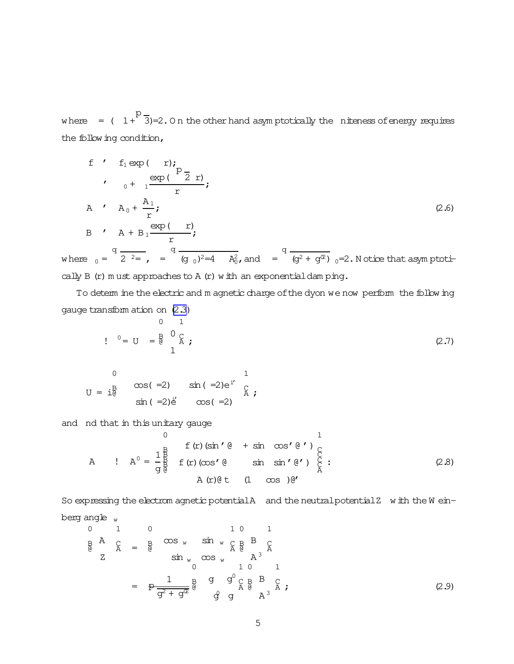<span id="page-4-0"></span>where =  $(1 + \sqrt{3})=2.0$  n the other hand asymptotically the niteness of energy requires the following condition,

f f 
$$
f_1 \exp(-r)
$$
;  
\n
$$
\int_{0}^{r} \frac{\exp(-\frac{R_1}{2}r)}{r}
$$
\nA  $f$   $A_0 + \frac{A_1}{r}$ ;  
\nB  $f$   $A + B_1 \frac{\exp(-r)}{r}$ ;  
\n $\int_{0}^{r} \frac{\exp(-r)}{r} dr$ 

where  $_0 = \frac{4}{2^2}$ ,  $= \frac{4}{(9_0)^2} = 4$   $\frac{A_0^2}{4}$ , and  $= \frac{4}{(9^2 + 9^2)} = 2$ . Notice that asymptotically  $B$  (r)  $m$  ust approaches to  $A$  (r)  $w$  ith an exponential dam ping.

To determ ine the electric and m agnetic charge of the dyon we now perform the following gauge transform ation on (2.3)

$$
P = U = \frac{B}{6} \begin{bmatrix} 0 & 1 \\ 0 & 2 \\ 1 & 1 \end{bmatrix}
$$
 (2.7)

0  
\n
$$
U = i\frac{B}{d}
$$
  $\cos(-2)$   $\sin(-2)e^{i}$   $\frac{C}{A}$ 

and nd that in this unitary gauge

A   
\n
$$
A = \frac{1}{g} \oint_{\theta}^{B} f(r) (\sin' \theta + \sin \cos' \theta') \bigg|_{A}^{B}
$$
\n
$$
= \frac{1}{g} \oint_{\theta}^{B} f(r) (\cos' \theta + \sin \sin' \theta') \bigg|_{A}^{C}
$$
\n
$$
= \frac{1}{g} \oint_{\theta}^{B} f(r) (\cos' \theta + \sin \cos' \theta') \bigg|_{A}^{C}
$$
\n
$$
= \frac{1}{g} \oint_{\theta}^{B} f(r) (\cos' \theta + \sin \cos' \theta') \bigg|_{A}^{C}
$$
\n
$$
= \frac{1}{g} \oint_{\theta}^{B} f(r) (\cos' \theta + \sin \cos' \theta') \bigg|_{A}^{C}
$$
\n
$$
= \frac{1}{g} \oint_{\theta}^{B} f(r) (\cos' \theta + \sin' \cos' \theta') \bigg|_{A}^{C}
$$
\n
$$
= \frac{1}{g} \oint_{\theta}^{B} f(r) (\cos' \theta + \sin' \cos' \theta') \bigg|_{A}^{C}
$$
\n
$$
= \frac{1}{g} \oint_{\theta}^{B} f(r) (\cos' \theta + \sin' \cos' \theta') \bigg|_{A}^{C}
$$
\n
$$
= \frac{1}{g} \oint_{\theta}^{B} f(r) (\cos' \theta + \sin' \cos' \theta') \bigg|_{A}^{C}
$$
\n
$$
= \frac{1}{g} \oint_{\theta}^{B} f(r) (\cos' \theta + \sin' \cos' \theta') \bigg|_{A}^{C}
$$
\n
$$
= \frac{1}{g} \oint_{\theta}^{B} f(r) (\cos' \theta + \sin' \cos' \theta') \bigg|_{A}^{C}
$$
\n
$$
= \frac{1}{g} \oint_{\theta}^{B} f(r) (\cos' \theta + \sin' \cos' \theta') \bigg|_{A}^{C}
$$
\n
$$
= \frac{1}{g} \oint_{\theta}^{B} f(r) (\cos' \theta + \sin' \cos' \theta') \bigg|_{A}^{C}
$$
\n
$$
= \frac{1}{g} \oint_{\theta}^{B} f(r) (\cos' \theta + \sin' \cos' \theta') \bigg|_{A}^{C}
$$

So expressing the electrom agnetic potentialA and the neutral potentialZ with the Weinberg angle  $_w$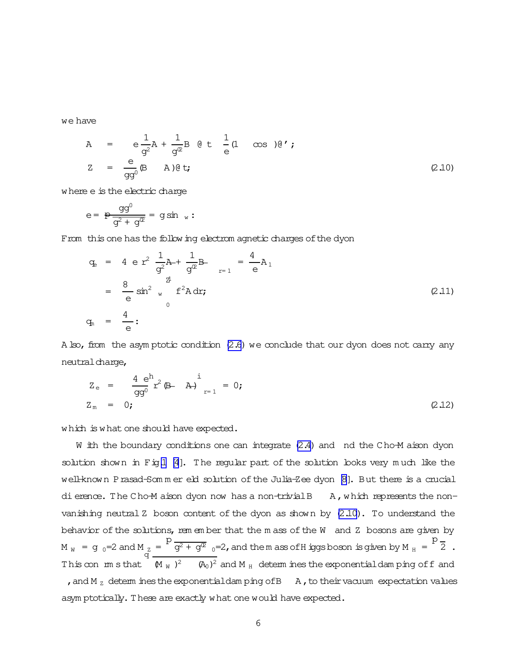we have

$$
A = e \frac{1}{g^{2}} A + \frac{1}{g^{2}} B \theta t \frac{1}{e} (1 \cos \theta') \theta';
$$
  
\n
$$
Z = \frac{e}{gg^{0}} (B \quad A) \theta t;
$$
\n(2.10)

where e is the electric charge

$$
e = \frac{p \frac{qq^0}{q^2 + q^2}} = g \sin w
$$

From this one has the following electrom agnetic charges of the dyon

$$
q_{e} = 4 e r^{2} \frac{1}{g^{2}} A + \frac{1}{g^{2}} B - \frac{4}{e} A_{1}
$$
  

$$
= \frac{8}{e} \sin^{2} w f^{2} A dr;
$$
  

$$
q_{n} = \frac{4}{e} :
$$
 (2.11)

A  $\text{Iso}$ , from the asymptotic condition  $(2.6)$  we conclude that our dyon does not carry any neutral charge,

$$
Z_e = \frac{4 e^{h}}{gg^{0}} r^2 (B - A) \Big|_{r=1}^{i} = 0; \qquad (2.12)
$$

which is what one should have expected.

W ith the boundary conditions one can integrate  $(2.4)$  and nd the Cho-M aison dyon solution shown in Fig[.1](#page-6-0) [\[4](#page-20-0)]. The regular part of the solution looks very much like the well-known Prasad-Sommer eld solution of the Julia-Zee dyon [\[8\]](#page-20-0). But there is a crucial dierence. The Cho-M aison dyon now has a non-trivial B A, which represents the nonvanishing neutral Z boson content of the dyon as shown by  $(2.10)$ . To understand the behavior of the solutions, rem em ber that the m ass of the W and Z bosons are given by M  $_W$  = g  $_0$ =2 and M  $_Z$  =  $\frac{p}{g^2 + g^2}$   $\frac{1}{g^2 + g^2}$  and them ass of Higgs boson is given by M  $_{\rm H}$  = p  $\frac{z}{q} = \frac{1}{q} \frac{q^2 + q^2}{q^2}$  o=2, and them ass of H iggs boson is given by M  $_H$  =  $\frac{1}{q}$  2. This con m sthat  $(M_W)^2$   $(M_0)^2$  and M  $_H$  determ ines the exponentialdam ping off and , and M  $_Z$  determ ines the exponential dam ping of B  $_A$ , to their vacuum expectation values asym ptotically. These are exactly what one would have expected.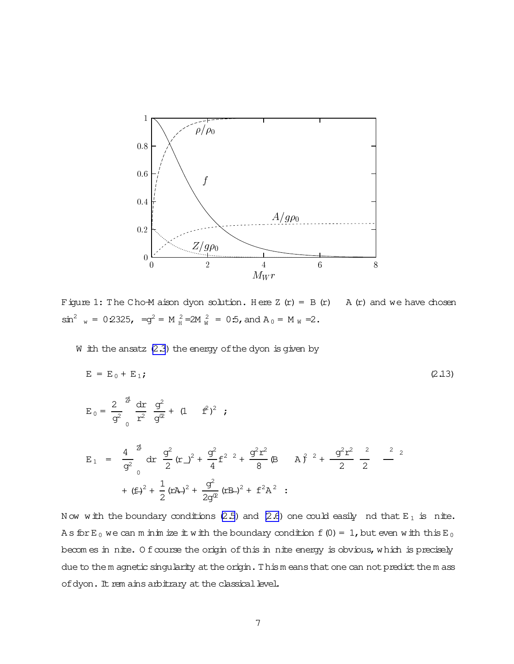<span id="page-6-0"></span>

Figure 1: The Cho-M aison dyon solution. Here Z  $(r) = B(r)$ A (r) and we have chosen  $\sin^2$  w = 0.2325, =  $g^2$  = M  $_A^2$  = 2M  $_W^2$  = 0.5, and A  $_0$  = M  $_W$  = 2.

W ith the ansatz  $(2.3)$  the energy of the dyon is given by

$$
E = E_0 + E_1;
$$
\n
$$
E_0 = \frac{2}{g^2} \frac{d\mathbf{r}}{\mathbf{r}^2} \frac{g^2}{g^2} + (1 - f^2)^2 ;
$$
\n
$$
E_1 = \frac{4}{g^2} \frac{d\mathbf{r}}{\mathbf{r}^2} \frac{g^2}{2} (\mathbf{r} - \mathbf{r}^2) + \frac{g^2}{4} f^2 \mathbf{r}^2 + \frac{g^2 r^2}{8} (\mathbf{B} - \mathbf{A})^2 + \frac{g^2 r^2}{2} \frac{2}{2} - \frac{2}{2}
$$
\n
$$
+ (f^2)^2 + \frac{1}{2} (r^2 + \frac{g^2}{2g^2} (r^2 + \frac{g^2}{2g^2} (r^2 + \mathbf{A})^2) + f^2 \mathbf{A}^2 ;
$$
\n(2.13)

Now with the boundary conditions (2.5) and (2.6) one could easily nd that  $E_1$  is nite. As for E<sub>0</sub> we can m in im ize it with the boundary condition f (0) = 1, but even with this E<sub>0</sub> becomes in nite. Of course the origin of this in nite energy is obvious, which is precisely due to them agnetic singularity at the origin. Thism eans that one can not predict them ass of dyon. It rem ains arbitrary at the classical level.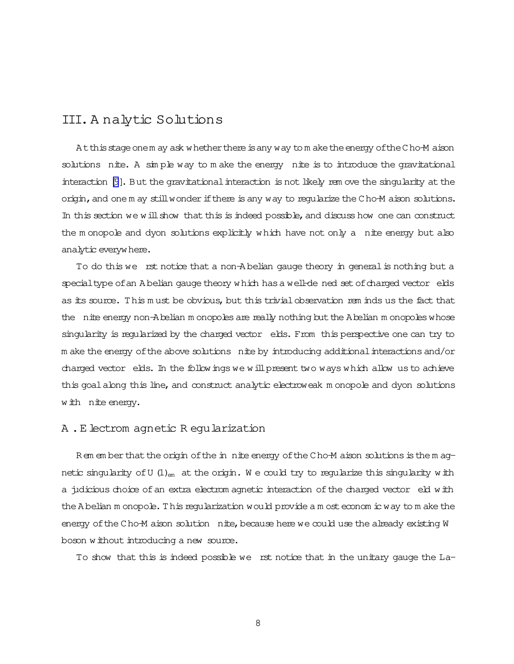### III.A nalytic Solutions

At this stage onem ay ask whether there is any way to m ake the energy of the Cho-M aison solutions nite. A simple way to make the energy nite is to introduce the gravitational interaction [\[9](#page-20-0)]. But the gravitational interaction is not likely rem ove the singularity at the origin, and one m ay still wonder if there is any way to reqularize the Cho-M aison solutions. In this section we will show that this is indeed possible, and discuss how one can construct the m onopole and dyon solutions explicitly which have not only a nite energy but also analytic everywhere.

To do this we rst notice that a non-A belian gauge theory in general is nothing but a special type of an A belian gauge theory which has a well-de ned set of charged vector elds as its source. This must be obvious, but this trivial observation rem inds us the fact that the nite energy non-Abelian m onopoles are really nothing but the Abelian m onopoles whose singularity is regularized by the charged vector elds. From this perspective one can try to m ake the energy of the above solutions nite by introducing additional interactions and/or charged vector elds. In the followings we willpresent two ways which allow us to achieve this goal along this line, and construct analytic electroweak m onopole and dyon solutions with nite energy.

### A .E lectrom agnetic R egularization

Rem em berthat the origin of the in nite energy of the Cho-M aison solutions is the m agnetic singularity of U  $(1)_{em}$  at the origin. We could try to regularize this singularity with a judicious choice of an extra electrom agnetic interaction of the charged vector eld with the A belian m onopole. This regularization would provide a m ost econom ic way to m ake the energy of the Cho-M aison solution nite, because here we could use the already existing W boson without introducing a new source.

To show that this is indeed possible we rst notice that in the unitary gauge the La-

8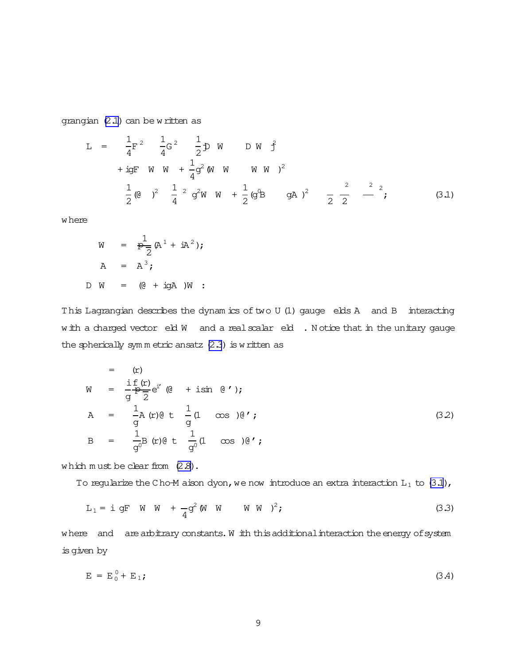<span id="page-8-0"></span>grangian  $(2.1)$  can be written as

$$
L = \frac{1}{4}F^{2} \frac{1}{4}G^{2} \frac{1}{2}D W D W \hat{f}
$$
  
+ igF W W +  $\frac{1}{4}g^{2}(W W W W)^{2}$   

$$
\frac{1}{2}(Q)^{2} \frac{1}{4}2 g^{2}W W + \frac{1}{2}(g^{0}B gA)^{2} \frac{1}{2} \frac{1}{2} \frac{1}{2} (3.1)
$$

where

$$
W = \frac{1}{P} (A^{1} + iA^{2});
$$
  

$$
A = A^{3};
$$
  

$$
D W = (Q + iQA)W :
$$

This Lagrangian describes the dynam ics of two U (1) gauge elds A and B interacting with a charged vector eld W and a real scalar eld . Notice that in the unitary gauge the spherically symmetric ansatz  $(2.3)$  is written as

$$
W = \frac{\text{i f}(r)}{g^2} e^{\text{i'}} \left(0 + \text{i} \sin \theta' \right);
$$
  
\n
$$
A = \frac{1}{g} A(r) \theta t \frac{1}{g} (1 - \cos \theta') ;
$$
  
\n
$$
B = \frac{1}{g^0} B(r) \theta t \frac{1}{g^0} (1 - \cos \theta') ;
$$
  
\n(32)

which must be clear from  $(2.8)$ .

To regularize the Cho-M aison dyon, we now introduce an extra interaction  $L_1$  to  $(3.1)$ ,

$$
L_1 = i \text{ gF} \quad W \quad W + \frac{1}{4} g^2 (W \quad W \quad W \quad W)^2;
$$
 (3.3)

where and are arbitrary constants. W ith this additional interaction the energy of system is given by

$$
E = E_0^0 + E_1;
$$
 (3.4)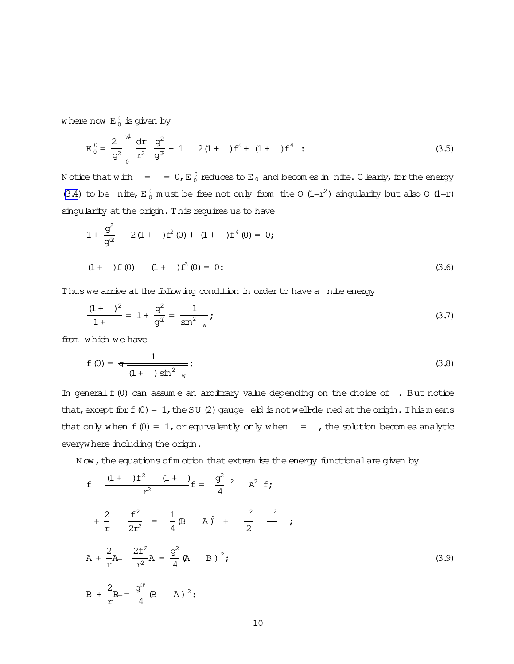<span id="page-9-0"></span>where now  $E_0^0$  is given by

$$
E_0^0 = \frac{2}{g^2} \frac{dr}{r^2} \frac{g^2}{g^2} + 1 \quad 2(1 + r^2)f^2 + (1 + r^4)f^4 \quad (3.5)
$$

N otice that with  $\sigma = 0$ , E  $_0^0$  reduces to E  $_0$  and becomes in nite. C learly, for the energy [\(3.4\)](#page-8-0) to be nite,  $E_0^0$  must be free not only from the O (1=r<sup>2</sup>) singularity but also O (1=r) singularity at the origin. This requires us to have

$$
1 + \frac{g^{2}}{g^{2}} \t 2(1 + )f^{2}(0) + (1 + )f^{4}(0) = 0;
$$
  
(1 + )f (0) (1 + )f<sup>3</sup> (0) = 0: (3.6)

Thus we arrive at the following condition in order to have a nite energy

$$
\frac{(1 + \varepsilon)^2}{1 + \varepsilon} = 1 + \frac{g^2}{g^{\mathfrak{D}}} = \frac{1}{\sin^2 \varepsilon},
$$
\n(3.7)

from which we have

$$
f(0) = \frac{1}{(1 + 1)\sin^2 w}:
$$
 (3.8)

In general  $f(0)$  can assume an arbitrary value depending on the choice of  $\cdot$ . But notice that, except for  $f(0) = 1$ , the SU (2) gauge eld is not well-de ned at the origin. Thism eans that only when  $f(0) = 1$ , or equivalently only when  $=$  , the solution becomes analytic everywhere including the origin.

N ow, the equations of m otion that extrem ise the energy functional are given by

$$
f = \frac{(1 + )f^{2} (1 + )}{r^{2}} f = \frac{g^{2}}{4} {}^{2} \t A^{2} f;
$$
  
\n
$$
+ \frac{2}{r} - \frac{f^{2}}{2r^{2}} = \frac{1}{4} (\beta + A)^{2} + \frac{2}{2} \frac{2}{r};
$$
  
\n
$$
A + \frac{2}{r} A - \frac{2f^{2}}{r^{2}} A = \frac{g^{2}}{4} (\beta + B)^{2};
$$
  
\n
$$
B + \frac{2}{r} B = \frac{g^{2}}{4} (\beta + A)^{2} ;
$$
  
\n(3.9)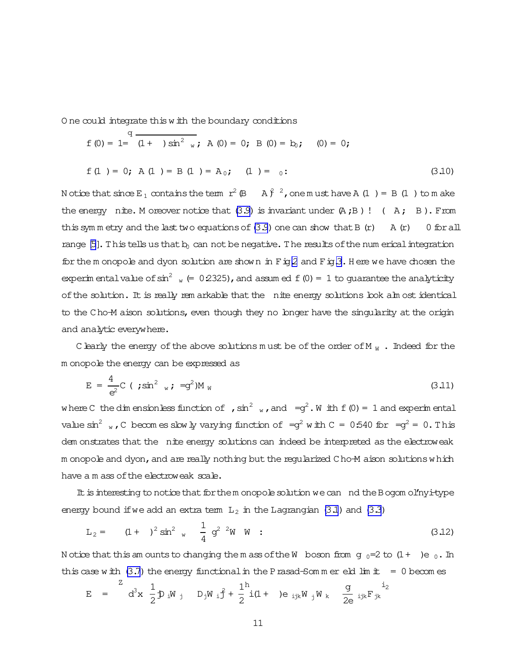<span id="page-10-0"></span>One could integrate this with the boundary conditions

$$
f(0) = 1 = \frac{q}{(1 + 0) \sin^2 w}
$$
; A(0) = 0; B(0) = b<sub>0</sub>; (0) = 0;

$$
f(1) = 0; A(1) = B(1) = A_0; (1) = 0;
$$
 (3.10)

N otice that since  $E_1$  contains the term  $r^2$  (B A  $\hat{f}$   $^2$ , one m ust have A (1) = B (1) to m ake the energy nite. M oreover notice that  $(3.9)$  is invariant under  $(A, B)$  ! (A; B). From this symmetry and the last two equations of  $(3.9)$  one can show that B  $(r)$  A  $(r)$  $0$  for all range  $[5]$ . This tells us that  $b_0$  can not be negative. The results of the num erical integration for the m onopole and dyon solution are shown in  $F$  is 2 and  $F$  is 3. Here we have chosen the experimental value of  $\sin^2$   $_{w}$  (= 0.2325), and assumed f (0) = 1 to quarantee the analyticity of the solution. It is really remarkable that the nite energy solutions look alm ost identical to the Cho-M aison solutions, even though they no longer have the singularity at the origin and analytic everywhere.

C learly the energy of the above solutions must be of the order of M  $_W$ . Indeed for the m onopole the energy can be expressed as

$$
E = \frac{4}{e^2} C \; (\; ; \sin^2 \; w \; ; \; = g^2) M_W \tag{3.11}
$$

where C the dim ensionless function of ,  $\sin^2$  , and  $=q^2$ . W ith f (0) = 1 and experimental value  $\sin^2$  w, C becomes slow ly varying function of  $=q^2$  with C = 0.540 for  $=q^2 = 0$ . This dem onstrates that the nite energy solutions can indeed be interpreted as the electroweak m onopole and dyon, and are really nothing but the reqularized Cho-M aison solutions which have a m ass of the electroweak scale.

It is interesting to notice that for them onopole solution we can nd the Bogom ol'nyi-type energy bound if we add an extra term  $L_2$  in the Lagrangian (3.1) and (3.3)

$$
L_2 = (1 + )^2 \sin^2 w \frac{1}{4} g^2 \frac{1}{w} W ; \qquad (3.12)
$$

Notice that this amounts to changing them ass of the W boson from g  $_0=2$  to  $(1+)$ e  $_0$ . In this case with  $(3.7)$  the energy functional in the P rasad-Som m er eld lim it = 0 becomes

$$
E = \int_{0}^{2} d^{3}x \frac{1}{2} D_{i}W_{j} D_{j}W_{i} \hat{f} + \frac{1}{2} \dot{I}(1 + )e_{i,jk}W_{j}W_{k} \frac{g}{2e} i_{jk}F_{jk}^{i_{2}}
$$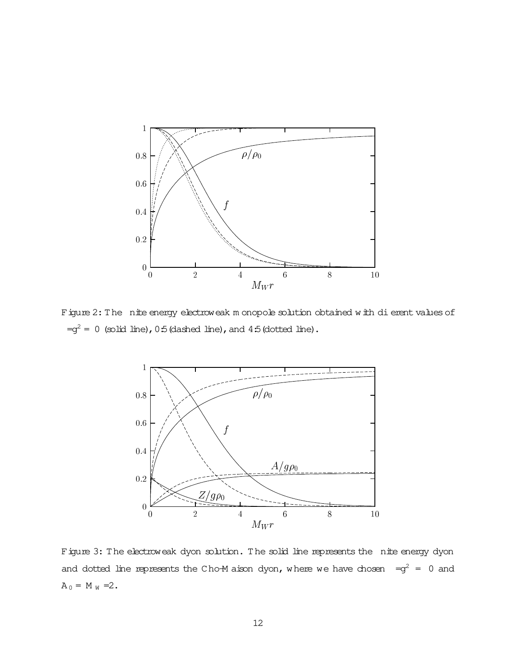<span id="page-11-0"></span>

Figure 2: The nite energy electroweak m onopole solution obtained with dierent values of  $=q^2 = 0$  (solid line), 0:5 (dashed line), and 4:5 (dotted line).



Figure 3: The electroweak dyon solution. The solid line represents the nite energy dyon and dotted line represents the Cho-M aison dyon, where we have chosen = $q^2$  = 0 and  $A_0 = M_W = 2.$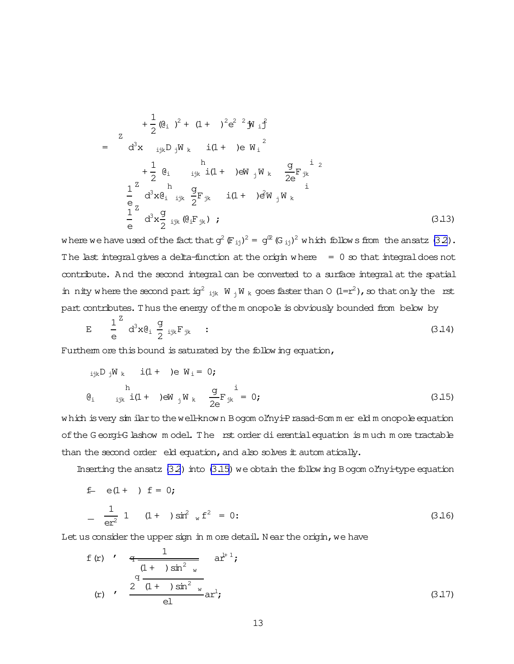<span id="page-12-0"></span>
$$
+\frac{1}{2}(\mathbf{Q}_{i})^{2} + (1 + )^{2}e^{2} {}^{2}j\mathbf{y}_{i} \mathbf{j}
$$
\n
$$
= d^{3}x \mathbf{i}_{jk}D_{j}W_{k} i(1 + )e W_{i} {}^{2}
$$
\n
$$
+\frac{1}{2}(\mathbf{Q}_{i} \mathbf{i}_{jk}i(1 + )e W_{j}W_{k} \frac{g}{2e}F_{jk} {}^{2}
$$
\n
$$
-\frac{1}{2}d^{3}x(\mathbf{Q}_{i} \mathbf{i}_{jk} \frac{g}{2}F_{jk} i(1 + )eW_{j}W_{k} {}^{j}
$$
\n
$$
-\frac{1}{2}d^{3}x(\mathbf{Q}_{i} \mathbf{i}_{jk} \frac{g}{2}F_{jk} i(1 + )e^{2}W_{j}W_{k} {}^{j}
$$
\n
$$
(\text{3.13})
$$

where we have used of the fact that  $q^2 \left( F_{ii} \right)^2 = q^2 \left( G_{ii} \right)^2$  which follows from the ansatz (3.2). The last integral gives a delta-function at the origin where  $= 0$  so that integral does not contribute. And the second integral can be converted to a surface integral at the spatial in nity where the second part ig<sup>2</sup> ik  $W_i W_k$  goes faster than 0 (1=r<sup>2</sup>), so that only the rst part contributes. Thus the energy of the m onopole is obviously bounded from below by

$$
E = \frac{1}{e} d^3 x \theta_i \frac{g}{2} i_{jk} F_{jk} \qquad (3.14)
$$

Furtherm ore this bound is saturated by the follow ing equation,

$$
i_{jk}D_{j}W_{k} \t i(1 + )e W_{i} = 0; \t h
$$
  
\n
$$
e_{i} \t i_{jk} i(1 + )e W_{j}W_{k} \t \frac{g}{2e}F_{jk}^{i} = 0; \t (3.15)
$$

which is very sim ilar to the well-known Bogom ol'nyi-Prasad-Sommer eld monopole equation of the Georgi-G lashow model. The rst order dierential equation is much more tractable than the second order eld equation, and also solves it autom atically.

Inserting the ansatz  $(3.2)$  into  $(3.15)$  we obtain the following Bogom ol'nyi-type equation

$$
f = e(1+) f = 0;
$$
  
\n
$$
-\frac{1}{er^{2}} 1 (1+) sin^{2} w f^{2} = 0;
$$
 (3.16)

Let us consider the upper sign in m ore detail. Near the origin, we have

f (r) 
$$
\frac{q}{(1 + \sin^2 w)} \text{ar}^{1+1}
$$
;  
\n $\frac{q}{(1 + \sin^2 w)} \text{ar}^{1}$ ;  
\n(r)  $\frac{2(1 + \sin^2 w)}{e^2}$ ar<sup>1</sup>;  
\n(3.17)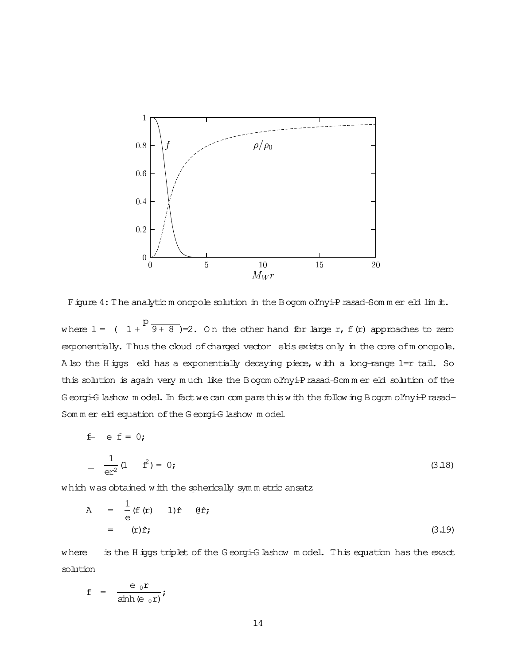<span id="page-13-0"></span>

Figure 4: The analytic m onopole solution in the Bogom ol'nyi-Prasad-Som m er eld lim it.

where  $1 = (1 +$ p  $\overline{9+8}$  )=2. On the other hand for large r, f(r) approaches to zero exponentially. Thus the cloud of charged vector elds exists only in the core of m onopole. A lso the H iggs eld has a exponentially decaying piece, with a long-range 1=r tail. So this solution is again very much like the Bogom ol'nyi-Prasad-Sommer eld solution of the G eorgi-G lashow m odel. In fact we can compare this with the following Bogom ol'nyi-Prasad-Som m er eld equation of the G eorgi-G lashow m odel

f = e f = 0;  
\n
$$
-\frac{1}{er^2}(1 + f^2) = 0;
$$
\n(3.18)

which was obtained with the spherically sym m etric ansatz

$$
A = \frac{1}{e} (f(r) 1) f \t \theta \hat{r};
$$
  
=  $(r)\hat{r};$  (3.19)

where is the H iggs triplet of the G eorgi-G lashow model. This equation has the exact solution

$$
f = \frac{e_0 r}{\sinh(e_0 r)};
$$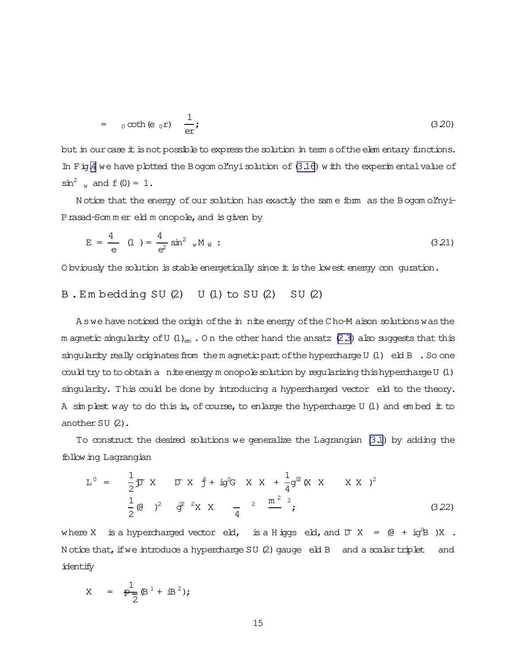<span id="page-14-0"></span>
$$
= \t0 \coth(e_0 r) \quad \frac{1}{er}; \tag{3.20}
$$

but in our case it is not possible to express the solution in term s of the elem entary functions. In  $F$  ig.4 we have plotted the Bogom ol'nyi solution of  $(3.16)$  with the experimental value of  $\sin^2$  w and f(0) = 1.

Notice that the energy of our solution has exactly the same form as the Bogom ol'nyi-Prasad-Som m er eld m onopole, and is given by

$$
E = \frac{4}{e} \quad (1) = \frac{4}{e^2} \sin^2 w M_W : \tag{3.21}
$$

O bviously the solution is stable energetically since it is the lowest energy con guration.

### B.Embedding SU(2) U(1) to SU(2) SU(2)

A swe have noticed the origin of the in nite energy of the Cho-M aison solutions was the m agnetic singularity of U  $(1)_{\text{em}}$ . On the other hand the ansatz (2.3) also suggests that this singularity really originates from the m agnetic part of the hypercharge U  $(1)$  eld B. So one could try to to obtain a nite energy m onopole solution by reqularizing this hypercharge U (1) singularity. This could be done by introducing a hypercharged vector eld to the theory. A simplest way to do this is, of course, to enlarge the hypercharge U (1) and embed it to another  $SU(2)$ .

To construct the desired solutions we generalize the Lagrangian (3.1) by adding the follow ing Lagrangian

$$
L^{0} = \frac{1}{2} \mathcal{D}^{x} X \qquad D^{x} X \qquad \hat{f} + i g^{0} G \qquad X \qquad X + \frac{1}{4} g^{0} (X \qquad X \qquad X \qquad X \qquad Y)^{2}
$$
\n
$$
\frac{1}{2} (0 \qquad)^{2} \qquad g^{0} \qquad {}^{2} X \qquad X \qquad \frac{1}{4} \qquad {}^{2} \qquad \frac{m^{2}}{2} \qquad {}^{2};
$$
\n(3.22)

where X is a hypercharged vector eld, is a Higgs eld, and  $D^x X = (0 + ig^0 B)X$ . Notice that, if we introduce a hypercharge SU (2) gauge eld B and a scalar triplet and identify

$$
X = \frac{1}{P-2} (B^1 + iB^2);
$$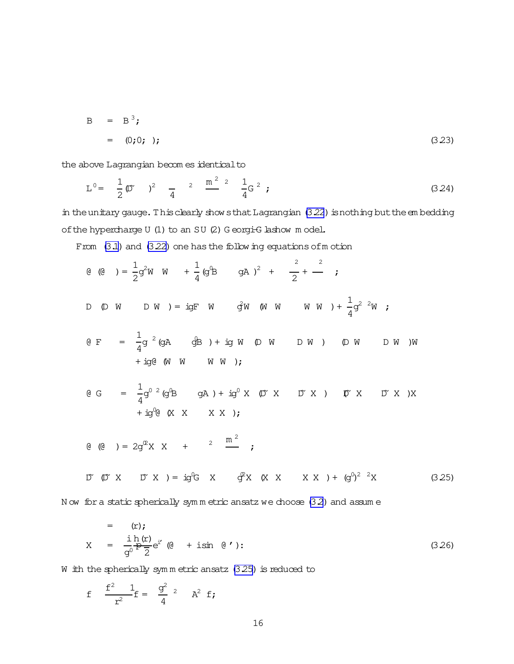$$
B = B3;
$$
  
= (0;0; ); (3.23)

the above Lagrangian becom es identical to

$$
L^{0} = \frac{1}{2} \mathfrak{D} \qquad \qquad \frac{2}{4} \qquad \frac{m^{2}}{4} \qquad \frac{1}{4} G^{2} ; \qquad (3.24)
$$

in the unitary gauge. This clearly show sthat Lagrangian (3.22) is nothing but the embedding of the hypercharge U (1) to an SU (2) Georgi-G lashow model.

From (3.1) and (3.22) one has the following equations of motion

Now for a static spherically symmetric ansatz we choose (3.2) and assume

$$
x = \frac{i h(r)}{g^0} e^{i'} (0 + i \sin 0')
$$
 (3.26)

W ith the spherically symmetric ansatz  $(3.25)$  is reduced to

f 
$$
\frac{f^2}{r^2} \frac{1}{f} = \frac{g^2}{4} \quad \text{A}^2 \quad f
$$
;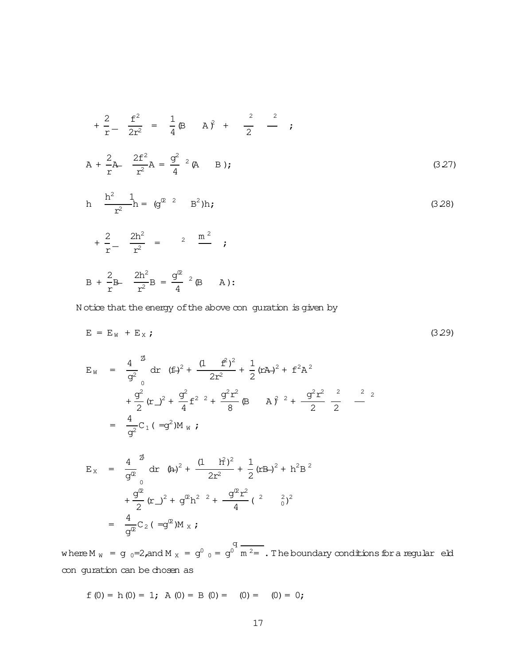<span id="page-16-0"></span>
$$
+\frac{2}{r} - \frac{f^2}{2r^2} = \frac{1}{4} \mathbf{B} \qquad \mathbf{A} \hat{y} + \frac{2}{2} - \frac{2}{r}
$$
  

$$
\mathbf{A} + \frac{2}{r} \mathbf{A} - \frac{2f^2}{r^2} \mathbf{A} = \frac{g^2}{4} \mathbf{A} \qquad \mathbf{B} \tag{3.27}
$$

$$
h \frac{h^{2} 1}{r^{2}} h = (g^{2} 2 B^{2})h;
$$
\n
$$
+ \frac{2}{r} - \frac{2h^{2}}{r^{2}} = 2 \frac{m^{2}}{r};
$$
\n(3.28)

$$
B + \frac{2}{r}B - \frac{2h^2}{r^2}B = \frac{g^{\circ\circ}}{4} {}^{2}(\beta - A)
$$
:

N otice that the energy of the above con guration is given by

$$
E = EW + EX ; \t\t(3.29)
$$

$$
E_{W} = \frac{4}{g^{2}} \frac{d}{dx} (f \pm)^{2} + \frac{(1 - f^{2})^{2}}{2r^{2}} + \frac{1}{2} (r A)^{2} + f^{2} A^{2}
$$
  
+ 
$$
\frac{g^{2}}{2} (r \pm)^{2} + \frac{g^{2}}{4} f^{2} \pm \frac{g^{2} r^{2}}{8} (B + A)^{2} + \frac{g^{2} r^{2}}{2} \pm \frac{2}{2}
$$
  
= 
$$
\frac{4}{g^{2}} C_{1} (-g^{2}) M_{W} ;
$$

$$
E_X = \frac{4}{g^2} \frac{d^2}{dx} (4x)^2 + \frac{(1 + 1)^2}{2x^2} + \frac{1}{2} (x^2 + 1)^2 + 1^2 B^2
$$
  
+ 
$$
\frac{g^2}{2} (x^2)^2 + g^2 B^2 + \frac{g^2 x^2}{4} (x^2 + 1)^2 B^2
$$
  
= 
$$
\frac{4}{g^2} C_2 (-g^2) M_X ;
$$

where M  $_{W}$  = g  $_{0}$ =2,and M  $_{X}$  = g<sup>0</sup>  $_{0}$  = g<sup>0</sup>  $m<sup>2</sup>$  . The boundary conditions for a regular eld conguration can be chosen as

$$
f(0) = h(0) = 1; A(0) = B(0) = (0) = (0) = 0;
$$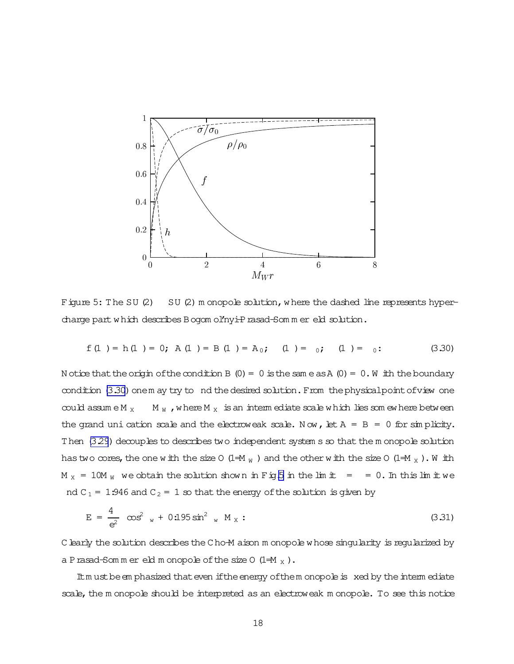

Figure 5: The SU $(2)$ SU (2) m onopole solution, where the dashed line represents hypercharge part which describes Bogom ol'nyi-Prasad-Sommer eld solution.

$$
f(1) = h(1) = 0; A(1) = B(1) = A_0; (1) = 0; (1) = 0;
$$
 (3.30)

N otice that the origin of the condition B (0) = 0 is the same as A (0) = 0. W ith the boundary condition (3.30) onem ay try to nd the desired solution. From the physical point of view one  $M_W$ , where  $M_X$  is an interm ediate scale which lies som ewhere between  $\operatorname{coul}$  assume M  $_\mathrm{x}$ the grand uni cation scale and the electroweak scale. Now, let  $A = B = 0$  for simplicity. Then (3.29) decouples to describes two independent system s so that the monopole solution has two cores, the one with the size 0 (1=M  $_W$ ) and the other with the size 0 (1=M  $_X$ ). With  $M_X = 10M_W$  we obtain the solution shown in Fig.5 in the lim it = = 0. In this lim it we nd  $C_1 = 1.946$  and  $C_2 = 1$  so that the energy of the solution is given by

$$
E = \frac{4}{e^2} \cos^2 w + 0.195 \sin^2 w M_X:
$$
 (3.31)

C learly the solution describes the C ho-M aison m onopole whose singularity is regularized by a P rasad-Sommer eld m onopole of the size  $0$  (1=M  $_{x}$ ).

It must be emphasized that even if the energy of the monopole is xed by the intermediate scale, the monopole should be interpreted as an electroweak monopole. To see this notice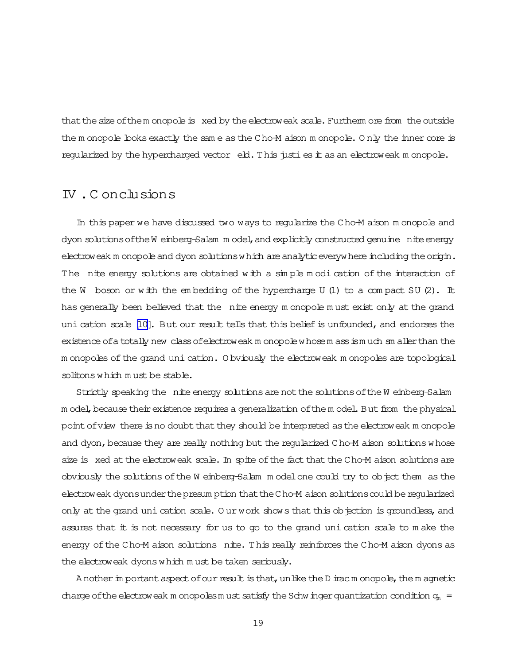that the size of the monopole is xed by the electroweak scale. Furtherm ore from the outside the m onopole looks exactly the sam e as the Cho-M aison m onopole. Only the inner core is regularized by the hypercharged vector  $\epsilon$  eld. This just is est in a selectroweak m onopole.

### IV .C onclusions

In this paper we have discussed two ways to regularize the Cho-M aison m onopole and dyon solutions of the W einberg-Salam m odel, and explicitly constructed genuine nite energy electroweak m onopole and dyon solutions which are analytic everywhere including the origin. The nite energy solutions are obtained with a simple modi cation of the interaction of the W boson or with the embedding of the hypercharge U (1) to a compact SU  $(2)$ . It has generally been believed that the nite energy m onopole must exist only at the grand uni cation scale [\[10\]](#page-20-0). But our result tells that this belief is unfounded, and endorses the existence of a totally new class of electroweak m onopole whose m ass is much sm aller than the m onopoles of the grand uni cation. O bviously the electroweak m onopoles are topological solitonswhich m ust be stable.

Strictly speaking the nite energy solutions are not the solutions of the W einberg-Salam m odel, because their existence requires a generalization of the m odel. But from the physical point of view there is no doubt that they should be interpreted as the electroweak m onopole and dyon, because they are really nothing but the regularized Cho-M aison solutions whose size is xed at the electroweak scale. In spite of the fact that the Cho-M aison solutions are obviously the solutions of the W einberg-Salam model one could try to object them as the electroweak dyonsunderthepresum ption thattheCho-M aison solutionscould beregularized only at the grand uni cation scale. Our work shows that this objection is groundless, and assures that it is not necessary for us to go to the grand unication scale to m ake the energy of the Cho-M aison solutions nite. This really reinforces the Cho-M aison dyons as the electroweak dyons which m ust be taken seriously.

A nother in portant aspect of our result is that, unlike the D irac m onopole, the m agnetic charge of the electroweak m onopolesm ust satisfy the Schw inger quantization condition  $q_m =$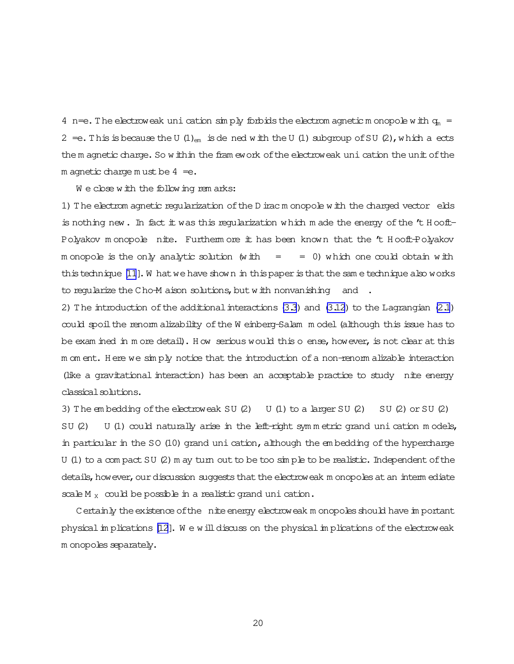4 n=e. The electroweak uni cation simply forbids the electrom agnetic m onopole with  $q_m =$ 2 = e. This is because the U  $(1)_{em}$  is dened with the U  $(1)$  subgroup of SU  $(2)$ , which a ects the m agnetic charge. So within the fram ework of the electroweak uni cation the unit of the m agnetic charge m ust be  $4=$ e.

We close with the following rem arks:

1) The electrom agnetic regularization of the D irac m onopole with the charged vector elds is nothing new. In fact it was this regularization which made the energy of the  $'t$  H ooft-Polyakov m onopole nite. Furtherm ore it has been known that the 't Hooft-Polyakov m onopole is the only analytic solution (with  $=$  = 0) which one could obtain with this technique  $[11]$ . What we have shown in this paper is that the same technique also works to regularize the Cho-M aison solutions, but with nonvanishing and .

2) The introduction of the additional interactions  $(3.3)$  and  $(3.12)$  to the Lagrangian  $(2.1)$ could spoilthe renorm alizability ofthe W einberg-Salam m odel(although this issue has to be exam ined in m ore detail). How serious would this o ense, however, is not clear at this m om ent. H ere we sim ply notice that the introduction ofa non-renorm alizable interaction (like a gravitational interaction) has been an acceptable practice to study nite energy classical solutions.

3) The embedding of the electroweak SU(2) U(1) to a larger SU(2) SU(2) or SU(2)  $SU(2)$  U (1) could naturally arise in the left-right symmetric grand uni cation models, in particular in the SO (10) grand uni cation, although the embedding of the hypercharge U (1) to a compact SU (2) m ay turn out to be too  $\sin p$  be to be realistic. Independent of the details, how ever, our discussion suggests that the electroweak m onopoles at an interm ediate scale M  $_X$  could be possible in a realistic grand uni cation.

Certainly the existence of the nite energy electroweak m onopoles should have im portant physical in plications  $[12]$ . We will discuss on the physical in plications of the electroweak m onopoles separately.

20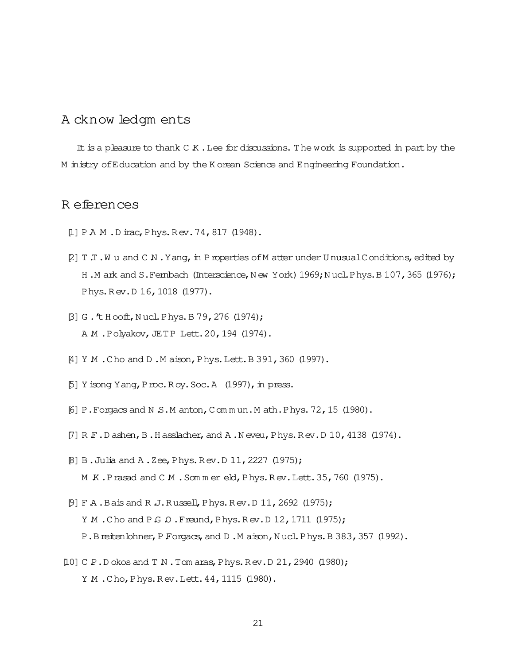### <span id="page-20-0"></span>A cknow ledgm ents

It is a pleasure to thank  $C K$ . Lee for discussions. The work is supported in part by the M inistry of Education and by the K orean Science and Engineering Foundation.

### R eferences

- [1] PAM.Dirac, Phys.Rev.74, 817 (1948).
- [2] T.T.Wu and C.N.Yang, in Properties of M atter under Unusual Conditions, edited by H.M ark and S.Fembach (Interscience, New York) 1969; Nucl.Phys.B 107, 365 (1976); Phys. Rev. D 16, 1018 (1977).
- [3] G. 't Hooft, Nucl. Phys. B 79, 276 (1974); A M.Polyakov, JETP Lett. 20, 194 (1974).
- [4] Y M . Cho and D . M aison, Phys. Lett. B 391, 360 (1997).
- [5] Y isong Y ang, P roc. R oy. Soc. A (1997), in press.
- [6] P. Forgacs and N.S.M anton, Commun.M ath.Phys. 72, 15 (1980).
- [7] R.F.Dashen, B.Hasslacher, and A.Neveu, Phys.Rev.D 10, 4138 (1974).
- [8] B. Julia and A. Zee, Phys. Rev. D 11, 2227 (1975); M K.Prasad and C M .Sommereld, Phys.Rev.Lett. 35, 760 (1975).
- [9] F A . Bais and R J. Russell, Phys. Rev. D 11, 2692 (1975); Y M . Cho and P G  $\Omega$  . Freund, Phys. Rev. D 12, 1711 (1975); P.B reiten bhner, P Forgacs, and D.M aison, Nucl. Phys. B 383, 357 (1992).
- [10] C P.D okos and T N.Tom aras, Phys. Rev.D 21, 2940 (1980); Y M.Cho, Phys. Rev. Lett. 44, 1115 (1980).